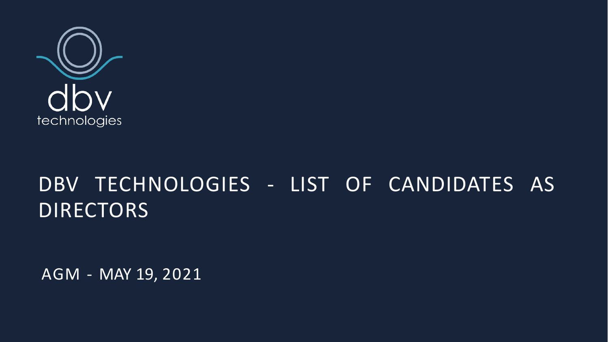

# DBV TECHNOLOGIES - LIST OF CANDIDATES AS **DIRECTORS**

AGM - MAY 19, 2021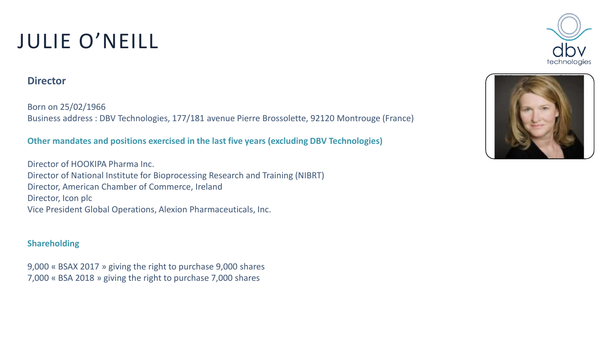# JULIE O'NEILL

### **Director**

Born on 25/02/1966 Business address : DBV Technologies, 177/181 avenue Pierre Brossolette, 92120 Montrouge (France)

#### **Other mandates and positions exercised in the last five years (excluding DBV Technologies)**

Director of HOOKIPA Pharma Inc. Director of National Institute for Bioprocessing Research and Training (NIBRT) Director, American Chamber of Commerce, Ireland Director, Icon plc Vice President Global Operations, Alexion Pharmaceuticals, Inc.

#### **Shareholding**

9,000 « BSAX 2017 » giving the right to purchase 9,000 shares 7,000 « BSA 2018 » giving the right to purchase 7,000 shares



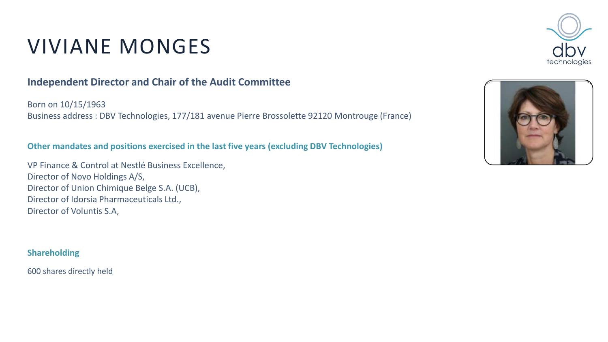# VIVIANE MONGES

## **Independent Director and Chair of the Audit Committee**

Born on 10/15/1963 Business address : DBV Technologies, 177/181 avenue Pierre Brossolette 92120 Montrouge (France)

#### **Other mandates and positions exercised in the last five years (excluding DBV Technologies)**

VP Finance & Control at Nestlé Business Excellence, Director of Novo Holdings A/S, Director of Union Chimique Belge S.A. (UCB), Director of Idorsia Pharmaceuticals Ltd., Director of Voluntis S.A,

#### **Shareholding**

600 shares directly held



![](_page_2_Picture_8.jpeg)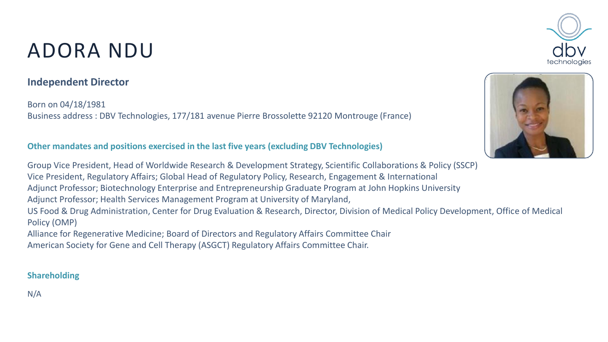# ADORA NDU

## **Independent Director**

Born on 04/18/1981 Business address : DBV Technologies, 177/181 avenue Pierre Brossolette 92120 Montrouge (France)

#### **Other mandates and positions exercised in the last five years (excluding DBV Technologies)**

Group Vice President, Head of Worldwide Research & Development Strategy, Scientific Collaborations & Policy (SSCP) Vice President, Regulatory Affairs; Global Head of Regulatory Policy, Research, Engagement & International Adjunct Professor; Biotechnology Enterprise and Entrepreneurship Graduate Program at John Hopkins University Adjunct Professor; Health Services Management Program at University of Maryland, US Food & Drug Administration, Center for Drug Evaluation & Research, Director, Division of Medical Policy Development, Office of Medical Policy (OMP)

Alliance for Regenerative Medicine; Board of Directors and Regulatory Affairs Committee Chair American Society for Gene and Cell Therapy (ASGCT) Regulatory Affairs Committee Chair.

#### **Shareholding**

N/A

![](_page_3_Picture_8.jpeg)

![](_page_3_Picture_9.jpeg)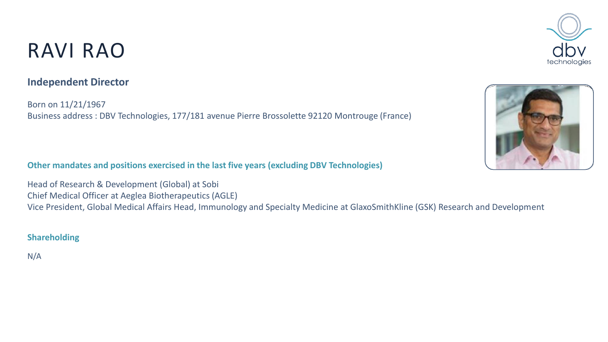## RAVI RAO

## **Independent Director**

Born on 11/21/1967 Business address : DBV Technologies, 177/181 avenue Pierre Brossolette 92120 Montrouge (France)

**Other mandates and positions exercised in the last five years (excluding DBV Technologies)**

Head of Research & Development (Global) at Sobi Chief Medical Officer at Aeglea Biotherapeutics (AGLE) Vice President, Global Medical Affairs Head, Immunology and Specialty Medicine at GlaxoSmithKline (GSK) Research and Development

#### **Shareholding**

N/A

![](_page_4_Picture_7.jpeg)

![](_page_4_Picture_8.jpeg)